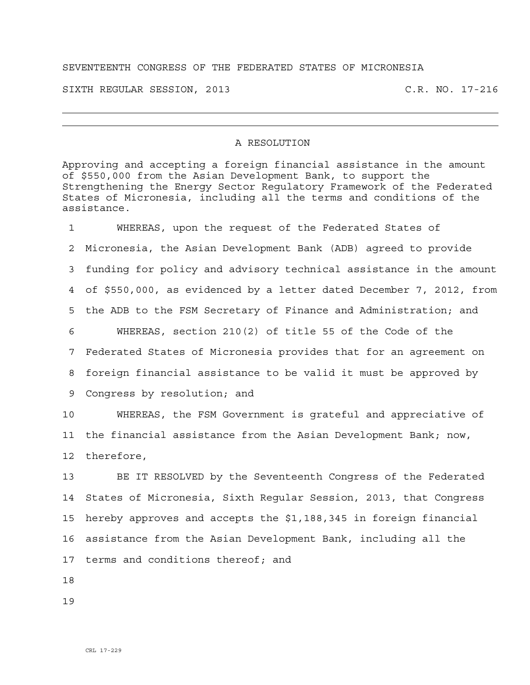## SEVENTEENTH CONGRESS OF THE FEDERATED STATES OF MICRONESIA

SIXTH REGULAR SESSION, 2013 C.R. NO. 17-216

## A RESOLUTION

Approving and accepting a foreign financial assistance in the amount of \$550,000 from the Asian Development Bank, to support the Strengthening the Energy Sector Regulatory Framework of the Federated States of Micronesia, including all the terms and conditions of the assistance.

1 WHEREAS, upon the request of the Federated States of 2 Micronesia, the Asian Development Bank (ADB) agreed to provide 3 funding for policy and advisory technical assistance in the amount 4 of \$550,000, as evidenced by a letter dated December 7, 2012, from 5 the ADB to the FSM Secretary of Finance and Administration; and 6 WHEREAS, section 210(2) of title 55 of the Code of the 7 Federated States of Micronesia provides that for an agreement on 8 foreign financial assistance to be valid it must be approved by 9 Congress by resolution; and

10 WHEREAS, the FSM Government is grateful and appreciative of 11 the financial assistance from the Asian Development Bank; now, 12 therefore,

13 BE IT RESOLVED by the Seventeenth Congress of the Federated 14 States of Micronesia, Sixth Regular Session, 2013, that Congress 15 hereby approves and accepts the \$1,188,345 in foreign financial 16 assistance from the Asian Development Bank, including all the 17 terms and conditions thereof; and

18

19